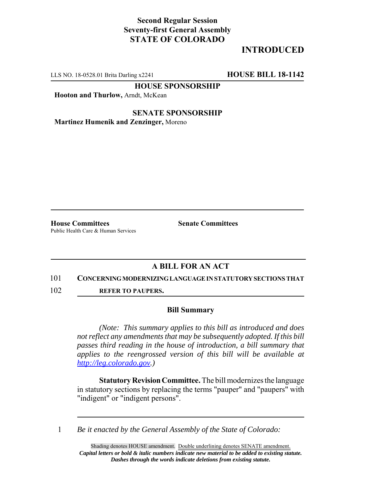## **Second Regular Session Seventy-first General Assembly STATE OF COLORADO**

# **INTRODUCED**

LLS NO. 18-0528.01 Brita Darling x2241 **HOUSE BILL 18-1142**

**HOUSE SPONSORSHIP**

**Hooton and Thurlow,** Arndt, McKean

**SENATE SPONSORSHIP Martinez Humenik and Zenzinger,** Moreno

**House Committees Senate Committees** Public Health Care & Human Services

### **A BILL FOR AN ACT**

### 101 **CONCERNING MODERNIZING LANGUAGE IN STATUTORY SECTIONS THAT**

102 **REFER TO PAUPERS.**

### **Bill Summary**

*(Note: This summary applies to this bill as introduced and does not reflect any amendments that may be subsequently adopted. If this bill passes third reading in the house of introduction, a bill summary that applies to the reengrossed version of this bill will be available at http://leg.colorado.gov.)*

**Statutory Revision Committee.** The bill modernizes the language in statutory sections by replacing the terms "pauper" and "paupers" with "indigent" or "indigent persons".

1 *Be it enacted by the General Assembly of the State of Colorado:*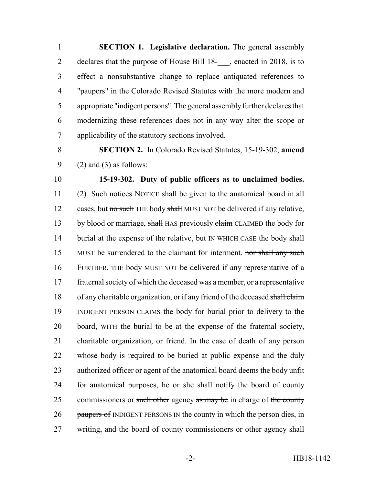**SECTION 1. Legislative declaration.** The general assembly 2 declares that the purpose of House Bill 18-, enacted in 2018, is to effect a nonsubstantive change to replace antiquated references to "paupers" in the Colorado Revised Statutes with the more modern and appropriate "indigent persons". The general assembly further declares that modernizing these references does not in any way alter the scope or applicability of the statutory sections involved.

8 **SECTION 2.** In Colorado Revised Statutes, 15-19-302, **amend** 9 (2) and (3) as follows:

10 **15-19-302. Duty of public officers as to unclaimed bodies.** 11 (2) Such notices NOTICE shall be given to the anatomical board in all 12 cases, but no such THE body shall MUST NOT be delivered if any relative, 13 by blood or marriage, shall HAS previously claim CLAIMED the body for 14 burial at the expense of the relative, but IN WHICH CASE the body shall 15 MUST be surrendered to the claimant for interment. nor shall any such 16 FURTHER, THE body MUST NOT be delivered if any representative of a 17 fraternal society of which the deceased was a member, or a representative 18 of any charitable organization, or if any friend of the deceased shall claim 19 INDIGENT PERSON CLAIMS the body for burial prior to delivery to the 20 board, WITH the burial to be at the expense of the fraternal society, 21 charitable organization, or friend. In the case of death of any person 22 whose body is required to be buried at public expense and the duly 23 authorized officer or agent of the anatomical board deems the body unfit 24 for anatomical purposes, he or she shall notify the board of county 25 commissioners or such other agency as may be in charge of the county 26 paupers of INDIGENT PERSONS IN the county in which the person dies, in 27 writing, and the board of county commissioners or other agency shall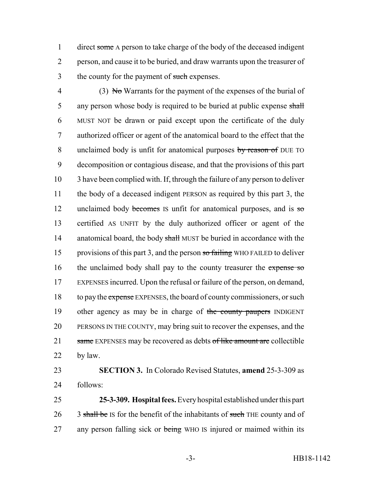1 direct some A person to take charge of the body of the deceased indigent 2 person, and cause it to be buried, and draw warrants upon the treasurer of 3 the county for the payment of such expenses.

4 (3) No Warrants for the payment of the expenses of the burial of 5 any person whose body is required to be buried at public expense shall 6 MUST NOT be drawn or paid except upon the certificate of the duly 7 authorized officer or agent of the anatomical board to the effect that the 8 unclaimed body is unfit for anatomical purposes by reason of DUE TO 9 decomposition or contagious disease, and that the provisions of this part 10 3 have been complied with. If, through the failure of any person to deliver 11 the body of a deceased indigent PERSON as required by this part 3, the 12 unclaimed body becomes IS unfit for anatomical purposes, and is so 13 certified AS UNFIT by the duly authorized officer or agent of the 14 anatomical board, the body shall MUST be buried in accordance with the 15 provisions of this part 3, and the person so failing WHO FAILED to deliver 16 the unclaimed body shall pay to the county treasurer the expense so 17 EXPENSES incurred. Upon the refusal or failure of the person, on demand, 18 to pay the expense EXPENSES, the board of county commissioners, or such 19 other agency as may be in charge of the county paupers INDIGENT 20 PERSONS IN THE COUNTY, may bring suit to recover the expenses, and the 21 same EXPENSES may be recovered as debts of like amount are collectible 22 by law.

23 **SECTION 3.** In Colorado Revised Statutes, **amend** 25-3-309 as 24 follows:

25 **25-3-309. Hospital fees.** Every hospital established under this part 26 3 shall be IS for the benefit of the inhabitants of such THE county and of 27 any person falling sick or being WHO IS injured or maimed within its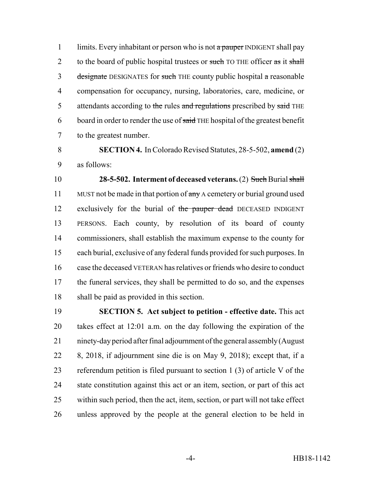1 limits. Every inhabitant or person who is not a pauper INDIGENT shall pay 2 to the board of public hospital trustees or such TO THE officer as it shall 3 designate DESIGNATES for such THE county public hospital a reasonable compensation for occupancy, nursing, laboratories, care, medicine, or 5 attendants according to the rules and regulations prescribed by said THE 6 board in order to render the use of said THE hospital of the greatest benefit to the greatest number.

 **SECTION 4.** In Colorado Revised Statutes, 28-5-502, **amend** (2) as follows:

 **28-5-502. Interment of deceased veterans.** (2) Such Burial shall 11 MUST not be made in that portion of any A cemetery or burial ground used 12 exclusively for the burial of the pauper dead DECEASED INDIGENT PERSONS. Each county, by resolution of its board of county commissioners, shall establish the maximum expense to the county for each burial, exclusive of any federal funds provided for such purposes. In case the deceased VETERAN has relatives or friends who desire to conduct the funeral services, they shall be permitted to do so, and the expenses shall be paid as provided in this section.

 **SECTION 5. Act subject to petition - effective date.** This act takes effect at 12:01 a.m. on the day following the expiration of the ninety-day period after final adjournment of the general assembly (August 8, 2018, if adjournment sine die is on May 9, 2018); except that, if a referendum petition is filed pursuant to section 1 (3) of article V of the state constitution against this act or an item, section, or part of this act within such period, then the act, item, section, or part will not take effect unless approved by the people at the general election to be held in